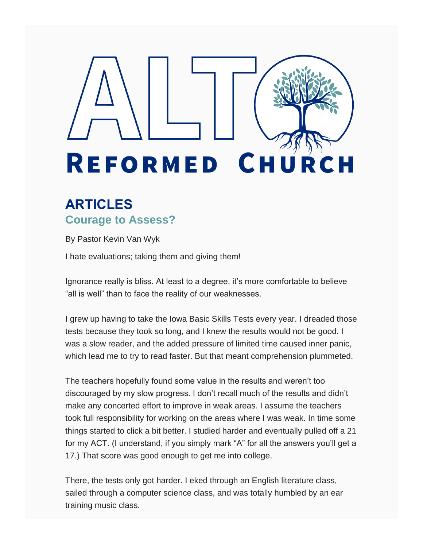# **CH** REFORMED **P**

## **ARTICLES Courage to Assess?**

By Pastor Kevin Van Wyk

I hate evaluations; taking them and giving them!

Ignorance really is bliss. At least to a degree, it's more comfortable to believe "all is well" than to face the reality of our weaknesses.

I grew up having to take the Iowa Basic Skills Tests every year. I dreaded those tests because they took so long, and I knew the results would not be good. I was a slow reader, and the added pressure of limited time caused inner panic, which lead me to try to read faster. But that meant comprehension plummeted.

The teachers hopefully found some value in the results and weren't too discouraged by my slow progress. I don't recall much of the results and didn't make any concerted effort to improve in weak areas. I assume the teachers took full responsibility for working on the areas where I was weak. In time some things started to click a bit better. I studied harder and eventually pulled off a 21 for my ACT. (I understand, if you simply mark "A" for all the answers you'll get a 17.) That score was good enough to get me into college.

There, the tests only got harder. I eked through an English literature class, sailed through a computer science class, and was totally humbled by an ear training music class.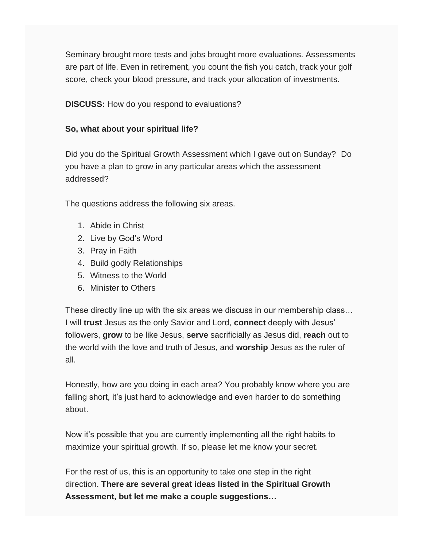Seminary brought more tests and jobs brought more evaluations. Assessments are part of life. Even in retirement, you count the fish you catch, track your golf score, check your blood pressure, and track your allocation of investments.

**DISCUSS:** How do you respond to evaluations?

#### **So, what about your spiritual life?**

Did you do the Spiritual Growth Assessment which I gave out on Sunday? Do you have a plan to grow in any particular areas which the assessment addressed?

The questions address the following six areas.

- 1. Abide in Christ
- 2. Live by God's Word
- 3. Pray in Faith
- 4. Build godly Relationships
- 5. Witness to the World
- 6. Minister to Others

These directly line up with the six areas we discuss in our membership class… I will **trust** Jesus as the only Savior and Lord, **connect** deeply with Jesus' followers, **grow** to be like Jesus, **serve** sacrificially as Jesus did, **reach** out to the world with the love and truth of Jesus, and **worship** Jesus as the ruler of all.

Honestly, how are you doing in each area? You probably know where you are falling short, it's just hard to acknowledge and even harder to do something about.

Now it's possible that you are currently implementing all the right habits to maximize your spiritual growth. If so, please let me know your secret.

For the rest of us, this is an opportunity to take one step in the right direction. **There are several great ideas listed in the Spiritual Growth Assessment, but let me make a couple suggestions…**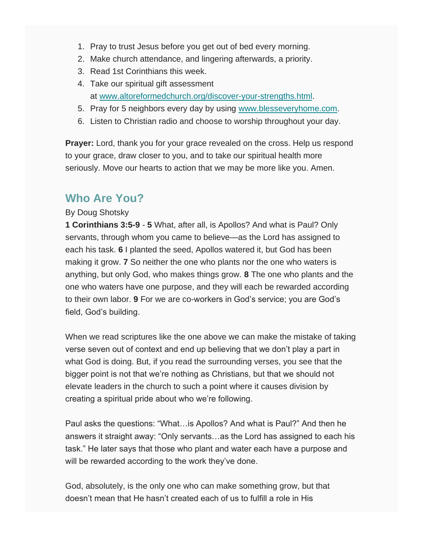- 1. Pray to trust Jesus before you get out of bed every morning.
- 2. Make church attendance, and lingering afterwards, a priority.
- 3. Read 1st Corinthians this week.
- 4. Take our spiritual gift assessment at [www.altoreformedchurch.org/discover-your-strengths.html.](https://nam12.safelinks.protection.outlook.com/?url=http%3A%2F%2Fwww.altoreformedchurch.org%2Fdiscover-your-strengths.html&data=04%7C01%7C%7C4e983cb7d929459be67708d9fc61a1c8%7C84df9e7fe9f640afb435aaaaaaaaaaaa%7C1%7C0%7C637818318523802391%7CUnknown%7CTWFpbGZsb3d8eyJWIjoiMC4wLjAwMDAiLCJQIjoiV2luMzIiLCJBTiI6Ik1haWwiLCJXVCI6Mn0%3D%7C3000&sdata=B4xJRygPIip%2BKtNRlkjEOF0UOilgG3%2BXEuqin7WW84w%3D&reserved=0)
- 5. Pray for 5 neighbors every day by using [www.blesseveryhome.com.](https://nam12.safelinks.protection.outlook.com/?url=http%3A%2F%2Fwww.blesseveryhome.com%2F&data=04%7C01%7C%7C4e983cb7d929459be67708d9fc61a1c8%7C84df9e7fe9f640afb435aaaaaaaaaaaa%7C1%7C0%7C637818318523802391%7CUnknown%7CTWFpbGZsb3d8eyJWIjoiMC4wLjAwMDAiLCJQIjoiV2luMzIiLCJBTiI6Ik1haWwiLCJXVCI6Mn0%3D%7C3000&sdata=A41%2BNov4okPNPOQ%2BF5m88u%2F1QAZa41AV5JI7i91pszs%3D&reserved=0)
- 6. Listen to Christian radio and choose to worship throughout your day.

**Prayer:** Lord, thank you for your grace revealed on the cross. Help us respond to your grace, draw closer to you, and to take our spiritual health more seriously. Move our hearts to action that we may be more like you. Amen.

## **Who Are You?**

#### By Doug Shotsky

**1 Corinthians 3:5-9** - **5** What, after all, is Apollos? And what is Paul? Only servants, through whom you came to believe—as the Lord has assigned to each his task. **6** I planted the seed, Apollos watered it, but God has been making it grow. **7** So neither the one who plants nor the one who waters is anything, but only God, who makes things grow. **8** The one who plants and the one who waters have one purpose, and they will each be rewarded according to their own labor. **9** For we are co-workers in God's service; you are God's field, God's building.

When we read scriptures like the one above we can make the mistake of taking verse seven out of context and end up believing that we don't play a part in what God is doing. But, if you read the surrounding verses, you see that the bigger point is not that we're nothing as Christians, but that we should not elevate leaders in the church to such a point where it causes division by creating a spiritual pride about who we're following.

Paul asks the questions: "What…is Apollos? And what is Paul?" And then he answers it straight away: "Only servants…as the Lord has assigned to each his task." He later says that those who plant and water each have a purpose and will be rewarded according to the work they've done.

God, absolutely, is the only one who can make something grow, but that doesn't mean that He hasn't created each of us to fulfill a role in His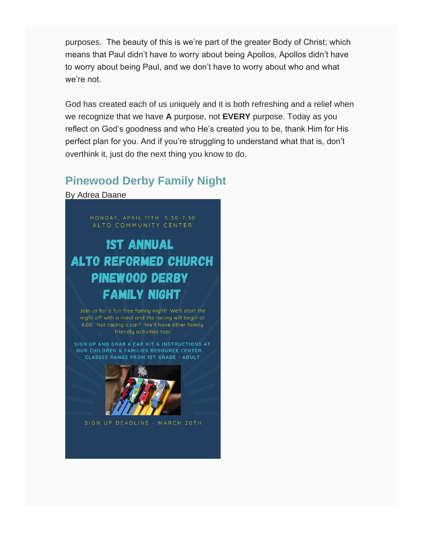purposes. The beauty of this is we're part of the greater Body of Christ; which means that Paul didn't have to worry about being Apollos, Apollos didn't have to worry about being Paul, and we don't have to worry about who and what we're not.

God has created each of us uniquely and it is both refreshing and a relief when we recognize that we have **A** purpose, not **EVERY** purpose. Today as you reflect on God's goodness and who He's created you to be, thank Him for His perfect plan for you. And if you're struggling to understand what that is, don't overthink it, just do the next thing you know to do.

## **Pinewood Derby Family Night**

By Adrea Daane



## PINEWOOD DERBY **FAMILY NIGHT**

Join us for a fun free family night! We'll start the night off with a meal and the racing will begin at 6:00. Not racing a car? We'll have other family friendly activities too!

SIGN UP AND GRAB A CAR KIT & INSTRUCTIONS AT OUR CHILDREN & FAMILIES RESOURCE CENTER. CLASSES RANGE FROM 1ST GRADE - ADULT



SIGN UP DEADLINE - MARCH 20TH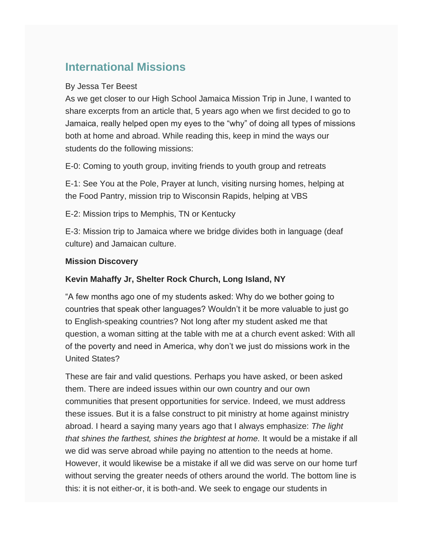## **International Missions**

#### By Jessa Ter Beest

As we get closer to our High School Jamaica Mission Trip in June, I wanted to share excerpts from an article that, 5 years ago when we first decided to go to Jamaica, really helped open my eyes to the "why" of doing all types of missions both at home and abroad. While reading this, keep in mind the ways our students do the following missions:

E-0: Coming to youth group, inviting friends to youth group and retreats

E-1: See You at the Pole, Prayer at lunch, visiting nursing homes, helping at the Food Pantry, mission trip to Wisconsin Rapids, helping at VBS

E-2: Mission trips to Memphis, TN or Kentucky

E-3: Mission trip to Jamaica where we bridge divides both in language (deaf culture) and Jamaican culture.

#### **Mission Discovery**

#### **Kevin Mahaffy Jr, Shelter Rock Church, Long Island, NY**

"A few months ago one of my students asked: Why do we bother going to countries that speak other languages? Wouldn't it be more valuable to just go to English-speaking countries? Not long after my student asked me that question, a woman sitting at the table with me at a church event asked: With all of the poverty and need in America, why don't we just do missions work in the United States?

These are fair and valid questions. Perhaps you have asked, or been asked them. There are indeed issues within our own country and our own communities that present opportunities for service. Indeed, we must address these issues. But it is a false construct to pit ministry at home against ministry abroad. I heard a saying many years ago that I always emphasize: *The light that shines the farthest, shines the brightest at home.* It would be a mistake if all we did was serve abroad while paying no attention to the needs at home. However, it would likewise be a mistake if all we did was serve on our home turf without serving the greater needs of others around the world. The bottom line is this: it is not either-or, it is both-and. We seek to engage our students in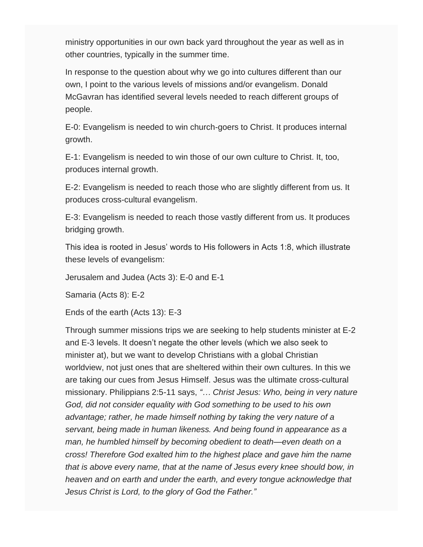ministry opportunities in our own back yard throughout the year as well as in other countries, typically in the summer time.

In response to the question about why we go into cultures different than our own, I point to the various levels of missions and/or evangelism. Donald McGavran has identified several levels needed to reach different groups of people.

E-0: Evangelism is needed to win church-goers to Christ. It produces internal growth.

E-1: Evangelism is needed to win those of our own culture to Christ. It, too, produces internal growth.

E-2: Evangelism is needed to reach those who are slightly different from us. It produces cross-cultural evangelism.

E-3: Evangelism is needed to reach those vastly different from us. It produces bridging growth.

This idea is rooted in Jesus' words to His followers in Acts 1:8, which illustrate these levels of evangelism:

Jerusalem and Judea (Acts 3): E-0 and E-1

Samaria (Acts 8): E-2

Ends of the earth (Acts 13): E-3

Through summer missions trips we are seeking to help students minister at E-2 and E-3 levels. It doesn't negate the other levels (which we also seek to minister at), but we want to develop Christians with a global Christian worldview, not just ones that are sheltered within their own cultures. In this we are taking our cues from Jesus Himself. Jesus was the ultimate cross-cultural missionary. Philippians 2:5-11 says, *"… Christ Jesus: Who, being in very nature God, did not consider equality with God something to be used to his own advantage; rather, he made himself nothing by taking the very nature of a servant, being made in human likeness. And being found in appearance as a man, he humbled himself by becoming obedient to death—even death on a cross! Therefore God exalted him to the highest place and gave him the name that is above every name, that at the name of Jesus every knee should bow, in heaven and on earth and under the earth, and every tongue acknowledge that Jesus Christ is Lord, to the glory of God the Father."*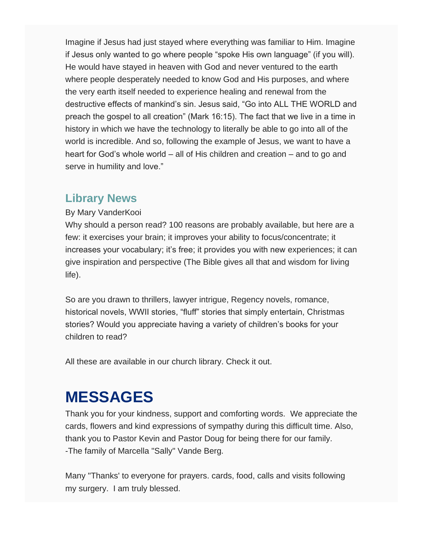Imagine if Jesus had just stayed where everything was familiar to Him. Imagine if Jesus only wanted to go where people "spoke His own language" (if you will). He would have stayed in heaven with God and never ventured to the earth where people desperately needed to know God and His purposes, and where the very earth itself needed to experience healing and renewal from the destructive effects of mankind's sin. Jesus said, "Go into ALL THE WORLD and preach the gospel to all creation" (Mark 16:15). The fact that we live in a time in history in which we have the technology to literally be able to go into all of the world is incredible. And so, following the example of Jesus, we want to have a heart for God's whole world – all of His children and creation – and to go and serve in humility and love."

### **Library News**

By Mary VanderKooi

Why should a person read? 100 reasons are probably available, but here are a few: it exercises your brain; it improves your ability to focus/concentrate; it increases your vocabulary; it's free; it provides you with new experiences; it can give inspiration and perspective (The Bible gives all that and wisdom for living life).

So are you drawn to thrillers, lawyer intrigue, Regency novels, romance, historical novels, WWII stories, "fluff" stories that simply entertain, Christmas stories? Would you appreciate having a variety of children's books for your children to read?

All these are available in our church library. Check it out.

# **MESSAGES**

Thank you for your kindness, support and comforting words. We appreciate the cards, flowers and kind expressions of sympathy during this difficult time. Also, thank you to Pastor Kevin and Pastor Doug for being there for our family. -The family of Marcella "Sally" Vande Berg.

Many "Thanks' to everyone for prayers. cards, food, calls and visits following my surgery. I am truly blessed.